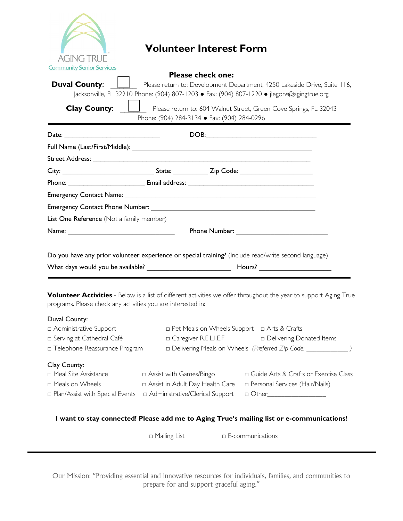

## **Volunteer Interest Form**

| <b>Community Senior Services</b>                             |  |                                                               |                                                                                                                                                                         |
|--------------------------------------------------------------|--|---------------------------------------------------------------|-------------------------------------------------------------------------------------------------------------------------------------------------------------------------|
| <b>Duval County:</b>                                         |  | <b>Please check one:</b>                                      |                                                                                                                                                                         |
|                                                              |  |                                                               | Please return to: Development Department, 4250 Lakeside Drive, Suite 116,<br>Jacksonville, FL 32210 Phone: (904) 807-1203 • Fax: (904) 807-1220 • jlegons@agingtrue.org |
|                                                              |  |                                                               |                                                                                                                                                                         |
| <b>Clay County:</b>                                          |  |                                                               | Please return to: 604 Walnut Street, Green Cove Springs, FL 32043                                                                                                       |
|                                                              |  | Phone: (904) 284-3134 • Fax: (904) 284-0296                   |                                                                                                                                                                         |
|                                                              |  |                                                               |                                                                                                                                                                         |
|                                                              |  |                                                               |                                                                                                                                                                         |
|                                                              |  |                                                               |                                                                                                                                                                         |
|                                                              |  |                                                               |                                                                                                                                                                         |
|                                                              |  |                                                               |                                                                                                                                                                         |
|                                                              |  |                                                               |                                                                                                                                                                         |
|                                                              |  |                                                               |                                                                                                                                                                         |
| List One Reference (Not a family member)                     |  |                                                               |                                                                                                                                                                         |
|                                                              |  |                                                               | <b>Phone Number: Example 2014</b>                                                                                                                                       |
|                                                              |  |                                                               |                                                                                                                                                                         |
|                                                              |  |                                                               | Do you have any prior volunteer experience or special training? (Include read/write second language)                                                                    |
|                                                              |  |                                                               |                                                                                                                                                                         |
|                                                              |  |                                                               |                                                                                                                                                                         |
|                                                              |  |                                                               |                                                                                                                                                                         |
|                                                              |  |                                                               | Volunteer Activities - Below is a list of different activities we offer throughout the year to support Aging True                                                       |
| programs. Please check any activities you are interested in: |  |                                                               |                                                                                                                                                                         |
| Duval County:                                                |  |                                                               |                                                                                                                                                                         |
| n Administrative Support                                     |  | □ Pet Meals on Wheels Support □ Arts & Crafts                 |                                                                                                                                                                         |
| □ Serving at Cathedral Café                                  |  | □ Caregiver R.E.L.I.E.F □ Delivering Donated Items            |                                                                                                                                                                         |
| □ Telephone Reassurance Program                              |  | Delivering Meals on Wheels (Preferred Zip Code: ____________) |                                                                                                                                                                         |
| Clay County:                                                 |  |                                                               |                                                                                                                                                                         |
| n Meal Site Assistance                                       |  |                                                               | □ Assist with Games/Bingo □ Guide Arts & Crafts or Exercise Class                                                                                                       |
| □ Meals on Wheels                                            |  | □ Assist in Adult Day Health Care                             | □ Personal Services (Hair/Nails)                                                                                                                                        |

## **I want to stay connected! Please add me to Aging True's mailing list or e-communications!**

□ Plan/Assist with Special Events □ Administrative/Clerical Support □ Other

□ Mailing List □ E-communications

Our Mission: "Providing essential and innovative resources for individuals, families, and communities to prepare for and support graceful aging."